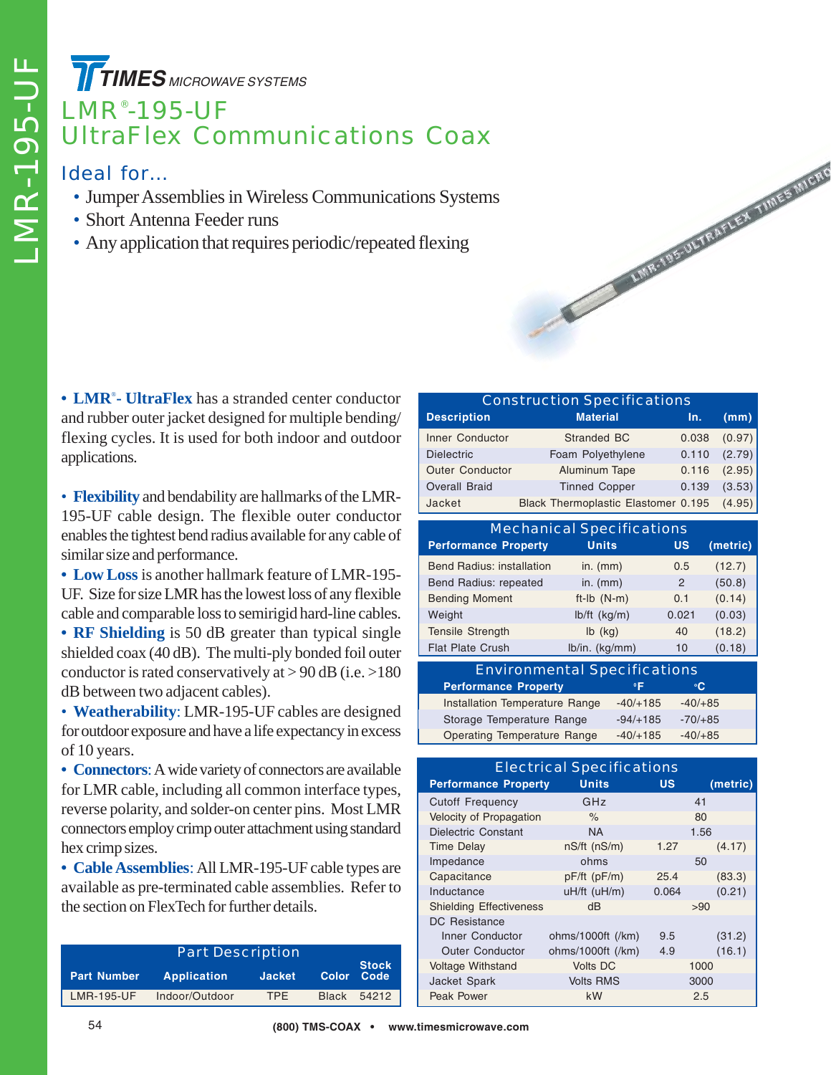**TIMES** MICROWAVE SYSTEMS

## LMR® -195-UF UltraFlex Communications Coax

## Ideal for…

- Jumper Assemblies in Wireless Communications Systems
- Short Antenna Feeder runs
- Any application that requires periodic/repeated flexing

**• LMR**® **- UltraFlex** has a stranded center conductor and rubber outer jacket designed for multiple bending/ flexing cycles. It is used for both indoor and outdoor applications.

• **Flexibility** and bendability are hallmarks of the LMR-195-UF cable design. The flexible outer conductor enables the tightest bend radius available for any cable of similar size and performance.

**• Low Loss** is another hallmark feature of LMR-195- UF. Size for size LMR has the lowest loss of any flexible cable and comparable loss to semirigid hard-line cables.

**• RF Shielding** is 50 dB greater than typical single shielded coax (40 dB). The multi-ply bonded foil outer conductor is rated conservatively at  $> 90$  dB (i.e.  $> 180$ ) dB between two adjacent cables).

• **Weatherability**: LMR-195-UF cables are designed for outdoor exposure and have a life expectancy in excess of 10 years.

**• Connectors**: A wide variety of connectors are available for LMR cable, including all common interface types, reverse polarity, and solder-on center pins. Most LMR connectors employ crimp outer attachment using standard hex crimp sizes.

**• Cable Assemblies**: All LMR-195-UF cable types are available as pre-terminated cable assemblies. Refer to the section on FlexTech for further details.

| <b>Part Description</b> |                    |               |              |                            |  |  |
|-------------------------|--------------------|---------------|--------------|----------------------------|--|--|
| <b>Part Number</b>      | <b>Application</b> | <b>Jacket</b> |              | <b>Stock</b><br>Color Code |  |  |
| LMR-195-UF              | Indoor/Outdoor     | <b>TPF</b>    | <b>Black</b> | 54212                      |  |  |

| <b>Construction Specifications</b> |                                     |       |        |  |  |  |  |
|------------------------------------|-------------------------------------|-------|--------|--|--|--|--|
| <b>Description</b>                 | <b>Material</b>                     | In.   | (mm)   |  |  |  |  |
| Inner Conductor                    | Stranded BC                         | 0.038 | (0.97) |  |  |  |  |
| <b>Dielectric</b>                  | Foam Polyethylene                   | 0.110 | (2.79) |  |  |  |  |
| <b>Outer Conductor</b>             | Aluminum Tape                       | 0.116 | (2.95) |  |  |  |  |
| <b>Overall Braid</b>               | <b>Tinned Copper</b>                | 0.139 | (3.53) |  |  |  |  |
| Jacket                             | Black Thermoplastic Elastomer 0.195 |       | (4.95) |  |  |  |  |

**CONTRACTOR IN THE VALUE AND RESIDENT** 

| <b>Mechanical Specifications</b> |                |       |          |  |  |  |
|----------------------------------|----------------|-------|----------|--|--|--|
| <b>Performance Property</b>      | <b>Units</b>   | US    | (metric) |  |  |  |
| <b>Bend Radius: installation</b> | in. $(mm)$     | 0.5   | (12.7)   |  |  |  |
| Bend Radius: repeated            | in. $(mm)$     | 2     | (50.8)   |  |  |  |
| <b>Bending Moment</b>            | $ft-lb$ (N-m)  | 0.1   | (0.14)   |  |  |  |
| Weight                           | lb/ft (kg/m)   | 0.021 | (0.03)   |  |  |  |
| <b>Tensile Strength</b>          | $Ib$ (kg)      | 40    | (18.2)   |  |  |  |
| <b>Flat Plate Crush</b>          | lb/in. (kg/mm) | 10    | (0.18)   |  |  |  |

| <b>Environmental Specifications</b> |            |           |  |  |
|-------------------------------------|------------|-----------|--|--|
| <b>Performance Property</b>         | $^{\circ}$ | °C.       |  |  |
| Installation Temperature Range      | $-40/+185$ | $-40/+85$ |  |  |
| Storage Temperature Range           | $-94/+185$ | $-70/+85$ |  |  |
| <b>Operating Temperature Range</b>  | $-40/+185$ | $-40/+85$ |  |  |

| <b>Electrical Specifications</b> |                    |                 |          |  |  |  |
|----------------------------------|--------------------|-----------------|----------|--|--|--|
| <b>Performance Property</b>      | <b>Units</b>       | บร              | (metric) |  |  |  |
| <b>Cutoff Frequency</b>          | GHz                |                 | 41       |  |  |  |
| Velocity of Propagation          | $\%$               |                 | 80       |  |  |  |
| Dielectric Constant              | <b>NA</b>          |                 | 1.56     |  |  |  |
| <b>Time Delay</b>                | $nS/ft$ ( $nS/m$ ) | 1.27            | (4.17)   |  |  |  |
| Impedance                        | ohms               | 50              |          |  |  |  |
| Capacitance                      | pF/ft (pF/m)       | 25.4            |          |  |  |  |
| Inductance                       | uH/ft (uH/m)       | (0.21)<br>0.064 |          |  |  |  |
| <b>Shielding Effectiveness</b>   | dB                 | >90             |          |  |  |  |
| <b>DC</b> Resistance             |                    |                 |          |  |  |  |
| Inner Conductor                  | ohms/1000ft (/km)  | 9.5             | (31.2)   |  |  |  |
| <b>Outer Conductor</b>           | ohms/1000ft (/km)  | 4.9             | (16.1)   |  |  |  |
| <b>Voltage Withstand</b>         | <b>Volts DC</b>    |                 | 1000     |  |  |  |
| Jacket Spark                     | <b>Volts RMS</b>   |                 | 3000     |  |  |  |
| <b>Peak Power</b>                | kW<br>2.5          |                 |          |  |  |  |